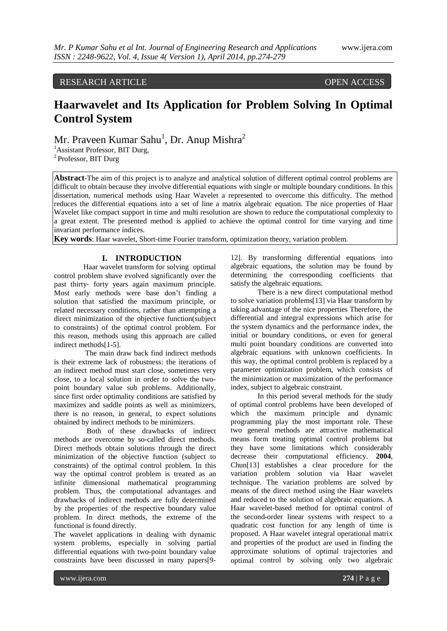# RESEARCH ARTICLE OPEN ACCESS

# **Haarwavelet and Its Application for Problem Solving In Optimal Control System**

Mr. Praveen Kumar Sahu<sup>1</sup>, Dr. Anup Mishra<sup>2</sup>

<sup>1</sup>Assistant Professor, BIT Durg,

<sup>2</sup> Professor, BIT Durg

**Abstract**-The aim of this project is to analyze and analytical solution of different optimal control problems are difficult to obtain because they involve differential equations with single or multiple boundary conditions. In this dissertation, numerical methods using Haar Wavelet a represented to overcome this difficulty. The method reduces the differential equations into a set of line a matrix algebraic equation. The nice properties of Haar Wavelet like compact support in time and multi resolution are shown to reduce the computational complexity to a great extent. The presented method is applied to achieve the optimal control for time varying and time invariant performance indices.

**Key words**: Haar wavelet, Short-time Fourier transform, optimization theory, variation problem.

## **I. INTRODUCTION**

 Haar wavelet transform for solving optimal control problem shave evolved significantly over the past thirty- forty years again maximum principle. Most early methods were base don"t finding a solution that satisfied the maximum principle, or related necessary conditions, rather than attempting a direct minimization of the objective function(subject to constraints) of the optimal control problem. For this reason, methods using this approach are called indirect methods[1-5].

 The main draw back find indirect methods is their extreme lack of robustness: the iterations of an indirect method must start close, sometimes very close, to a local solution in order to solve the twopoint boundary value sub problems. Additionally, since first order optimality conditions are satisfied by maximizes and saddle points as well as minimizers, there is no reason, in general, to expect solutions obtained by indirect methods to be minimizers.

 Both of these drawbacks of indirect methods are overcome by so-called direct methods. Direct methods obtain solutions through the direct minimization of the objective function (subject to constraints) of the optimal control problem. In this way the optimal control problem is treated as an infinite dimensional mathematical programming problem. Thus, the computational advantages and drawbacks of indirect methods are fully determined by the properties of the respective boundary value problem. In direct methods, the extreme of the functional is found directly.

The wavelet applications in dealing with dynamic system problems, especially in solving partial differential equations with two-point boundary value constraints have been discussed in many papers[912]. By transforming differential equations into algebraic equations, the solution may be found by determining the corresponding coefficients that satisfy the algebraic equations.

There is a new direct computational method to solve variation problems[13] via Haar transform by taking advantage of the nice properties Therefore, the differential and integral expressions which arise for the system dynamics and the performance index, the initial or boundary conditions, or even for general multi point boundary conditions are converted into algebraic equations with unknown coefficients. In this way, the optimal control problem is replaced by a parameter optimization problem, which consists of the minimization or maximization of the performance index, subject to algebraic constraint.

In this period several methods for the study of optimal control problems have been developed of which the maximum principle and dynamic programming play the most important role. These two general methods are attractive mathematical means form treating optimal control problems but they have some limitations which considerably decrease their computational efficiency. **2004**, Chun[13] establishes a clear procedure for the variation problem solution via Haar wavelet technique. The variation problems are solved by means of the direct method using the Haar wavelets and reduced to the solution of algebraic equations. A Haar wavelet-based method for optimal control of the second-order linear systems with respect to a quadratic cost function for any length of time is proposed. A Haar wavelet integral operational matrix and properties of the product are used in finding the approximate solutions of optimal trajectories and optimal control by solving only two algebraic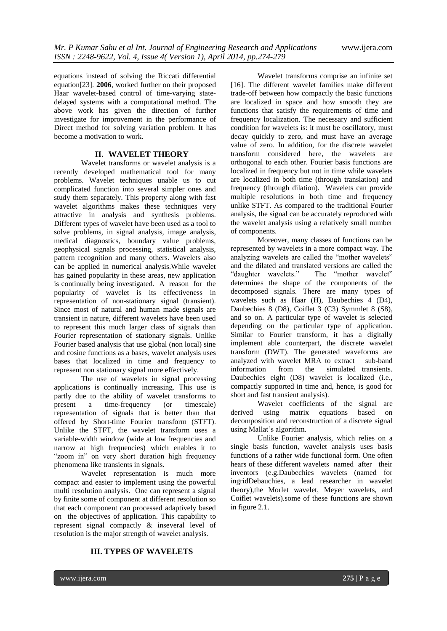equations instead of solving the Riccati differential equation[23]. **2006**, worked further on their proposed Haar wavelet-based control of time-varying statedelayed systems with a computational method. The above work has given the direction of further investigate for improvement in the performance of Direct method for solving variation problem. It has become a motivation to work.

# **II. WAVELET THEORY**

Wavelet transforms or wavelet analysis is a recently developed mathematical tool for many problems. Wavelet techniques unable us to cut complicated function into several simpler ones and study them separately. This property along with fast wavelet algorithms makes these techniques very attractive in analysis and synthesis problems. Different types of wavelet have been used as a tool to solve problems, in signal analysis, image analysis, medical diagnostics, boundary value problems, geophysical signals processing, statistical analysis, pattern recognition and many others. Wavelets also can be applied in numerical analysis.While wavelet has gained popularity in these areas, new application is continually being investigated. A reason for the popularity of wavelet is its effectiveness in representation of non-stationary signal (transient). Since most of natural and human made signals are transient in nature, different wavelets have been used to represent this much larger class of signals than Fourier representation of stationary signals. Unlike Fourier based analysis that use global (non local) sine and cosine functions as a bases, wavelet analysis uses bases that localized in time and frequency to represent non stationary signal more effectively.

The use of wavelets in signal processing applications is continually increasing. This use is partly due to the ability of wavelet transforms to present a time-frequency (or timescale) representation of signals that is better than that offered by Short-time Fourier transform (STFT). Unlike the STFT, the wavelet transform uses a variable-width window (wide at low frequencies and narrow at high frequencies) which enables it to "zoom in" on very short duration high frequency phenomena like transients in signals.

Wavelet representation is much more compact and easier to implement using the powerful multi resolution analysis. One can represent a signal by finite some of component at different resolution so that each component can processed adaptively based on the objectives of application. This capability to represent signal compactly & inseveral level of resolution is the major strength of wavelet analysis.

Wavelet transforms comprise an infinite set [16]. The different wavelet families make different trade-off between how compactly the basic functions are localized in space and how smooth they are functions that satisfy the requirements of time and frequency localization. The necessary and sufficient condition for wavelets is: it must be oscillatory, must decay quickly to zero, and must have an average value of zero. In addition, for the discrete wavelet transform considered here, the wavelets are orthogonal to each other. Fourier basis functions are localized in frequency but not in time while wavelets are localized in both time (through translation) and frequency (through dilation). Wavelets can provide multiple resolutions in both time and frequency unlike STFT. As compared to the traditional Fourier analysis, the signal can be accurately reproduced with the wavelet analysis using a relatively small number of components.

Moreover, many classes of functions can be represented by wavelets in a more compact way. The analyzing wavelets are called the "mother wavelets" and the dilated and translated versions are called the "daughter wavelets." The "mother wavelet" The "mother wavelet" determines the shape of the components of the decomposed signals. There are many types of wavelets such as Haar (H), Daubechies 4 (D4), Daubechies 8 (D8), Coiflet 3 (C3) Symmlet 8 (S8), and so on. A particular type of wavelet is selected depending on the particular type of application. Similar to Fourier transform, it has a digitally implement able counterpart, the discrete wavelet transform (DWT). The generated waveforms are analyzed with wavelet MRA to extract sub-band information from the simulated transients. Daubechies eight (D8) wavelet is localized (i.e., compactly supported in time and, hence, is good for short and fast transient analysis).

Wavelet coefficients of the signal are derived using matrix equations based on decomposition and reconstruction of a discrete signal using Mallat's algorithm.

Unlike Fourier analysis, which relies on a single basis function, wavelet analysis uses basis functions of a rather wide functional form. One often hears of these different wavelets named after their inventors (e.g.Daubechies wavelets (named for ingridDebauchies, a lead researcher in wavelet theory),the Morlet wavelet, Meyer wavelets, and Coiflet wavelets).some of these functions are shown in figure 2.1.

# **III. TYPES OF WAVELETS**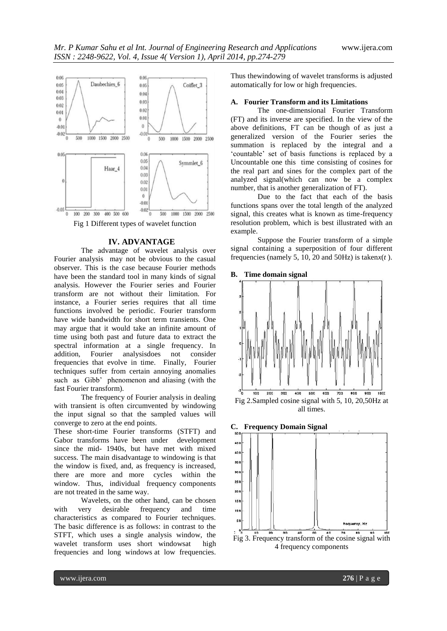

Fig 1 Different types of wavelet function

#### **IV. ADVANTAGE**

The advantage of wavelet analysis over Fourier analysis may not be obvious to the casual observer. This is the case because Fourier methods have been the standard tool in many kinds of signal analysis. However the Fourier series and Fourier transform are not without their limitation. For instance, a Fourier series requires that all time functions involved be periodic. Fourier transform have wide bandwidth for short term transients. One may argue that it would take an infinite amount of time using both past and future data to extract the spectral information at a single frequency. In addition, Fourier analysisdoes not consider frequencies that evolve in time. Finally, Fourier techniques suffer from certain annoying anomalies such as Gibb" phenomenon and aliasing (with the fast Fourier transform).

The frequency of Fourier analysis in dealing with transient is often circumvented by windowing the input signal so that the sampled values will converge to zero at the end points.

These short-time Fourier transforms (STFT) and Gabor transforms have been under development since the mid- 1940s, but have met with mixed success. The main disadvantage to windowing is that the window is fixed, and, as frequency is increased, there are more and more cycles within the window. Thus, individual frequency components are not treated in the same way.

Wavelets, on the other hand, can be chosen with very desirable frequency and time characteristics as compared to Fourier techniques. The basic difference is as follows: in contrast to the STFT, which uses a single analysis window, the wavelet transform uses short windowsat high frequencies and long windows at low frequencies.

Thus thewindowing of wavelet transforms is adjusted automatically for low or high frequencies.

#### **A. Fourier Transform and its Limitations**

The one-dimensional Fourier Transform (FT) and its inverse are specified. In the view of the above definitions, FT can be though of as just a generalized version of the Fourier series the summation is replaced by the integral and a "countable" set of basis functions is replaced by a Uncountable one this time consisting of cosines for the real part and sines for the complex part of the analyzed signal(which can now be a complex number, that is another generalization of FT).

Due to the fact that each of the basis functions spans over the total length of the analyzed signal, this creates what is known as time-frequency resolution problem, which is best illustrated with an example.

Suppose the Fourier transform of a simple signal containing a superposition of four different frequencies (namely 5, 10, 20 and 50Hz) is taken*x*(*t* ).







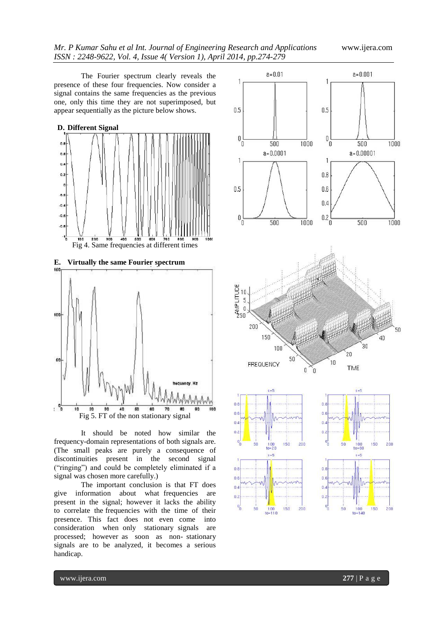The Fourier spectrum clearly reveals the presence of these four frequencies. Now consider a signal contains the same frequencies as the previous one, only this time they are not superimposed, but appear sequentially as the picture below shows.



It should be noted how similar the frequency-domain representations of both signals are. (The small peaks are purely a consequence of discontinuities present in the second signal ("ringing") and could be completely eliminated if a signal was chosen more carefully.)

The important conclusion is that FT does give information about what frequencies are present in the signal; however it lacks the ability to correlate the frequencies with the time of their presence. This fact does not even come into consideration when only stationary signals are processed; however as soon as non- stationary signals are to be analyzed, it becomes a serious handicap.

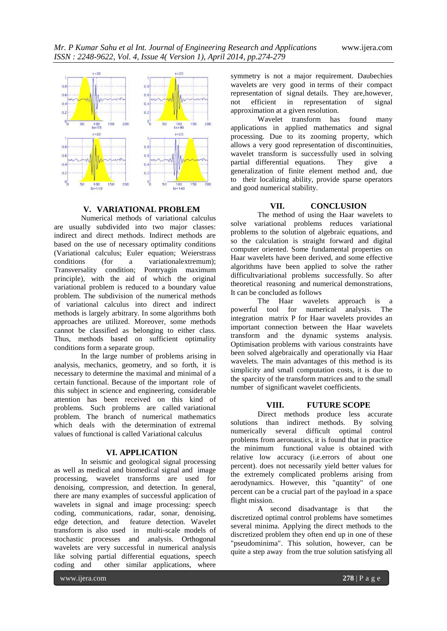

# **V. VARIATIONAL PROBLEM**

Numerical methods of variational calculus are usually subdivided into two major classes: indirect and direct methods. Indirect methods are based on the use of necessary optimality conditions (Variational calculus; Euler equation; Weierstrass conditions (for a variational extremum):  $(for \ a \ variational extremum):$ Transversality condition; Pontryagin maximum principle), with the aid of which the original variational problem is reduced to a boundary value problem. The subdivision of the numerical methods of variational calculus into direct and indirect methods is largely arbitrary. In some algorithms both approaches are utilized. Moreover, some methods cannot be classified as belonging to either class. Thus, methods based on sufficient optimality conditions form a separate group.

In the large number of problems arising in analysis, mechanics, geometry, and so forth, it is necessary to determine the maximal and minimal of a certain functional. Because of the important role of this subject in science and engineering, considerable attention has been received on this kind of problems. Such problems are called variational problem. The branch of numerical mathematics which deals with the determination of extremal values of functional is called Variational calculus

## **VI. APPLICATION**

In seismic and geological signal processing as well as medical and biomedical signal and image processing, wavelet transforms are used for denoising, compression, and detection. In general, there are many examples of successful application of wavelets in signal and image processing: speech coding, communications, radar, sonar, denoising, edge detection, and feature detection. Wavelet transform is also used in multi-scale models of stochastic processes and analysis. Orthogonal wavelets are very successful in numerical analysis like solving partial differential equations, speech coding and other similar applications, where

symmetry is not a major requirement. Daubechies wavelets are very good in terms of their compact representation of signal details. They are,however, not efficient in representation of signal approximation at a given resolution.

Wavelet transform has found many applications in applied mathematics and signal processing. Due to its zooming property, which allows a very good representation of discontinuities, wavelet transform is successfully used in solving partial differential equations. They give a generalization of finite element method and, due to their localizing ability, provide sparse operators and good numerical stability.

### **VII. CONCLUSION**

The method of using the Haar wavelets to solve variational problems reduces variational problems to the solution of algebraic equations, and so the calculation is straight forward and digital computer oriented. Some fundamental properties on Haar wavelets have been derived, and some effective algorithms have been applied to solve the rather difficultvariational problems successfully. So after theoretical reasoning and numerical demonstrations, It can be concluded as follows

The Haar wavelets approach is a powerful tool for numerical analysis. The integration matrix P for Haar wavelets provides an important connection between the Haar wavelets transform and the dynamic systems analysis. Optimisation problems with various constraints have been solved algebraically and operationally via Haar wavelets. The main advantages of this method is its simplicity and small computation costs, it is due to the sparcity of the transform matrices and to the small number of significant wavelet coefficients.

## **VIII. FUTURE SCOPE**

Direct methods produce less accurate solutions than indirect methods. By solving numerically several difficult optimal control problems from aeronautics, it is found that in practice the minimum functional value is obtained with relative low accuracy (i.e.errors of about one percent). does not necessarily yield better values for the extremely complicated problems arising from aerodynamics. However, this "quantity" of one percent can be a crucial part of the payload in a space flight mission.

A second disadvantage is that the discretized optimal control problems have sometimes several minima. Applying the direct methods to the discretized problem they often end up in one of these "pseudominima". This solution, however, can be quite a step away from the true solution satisfying all